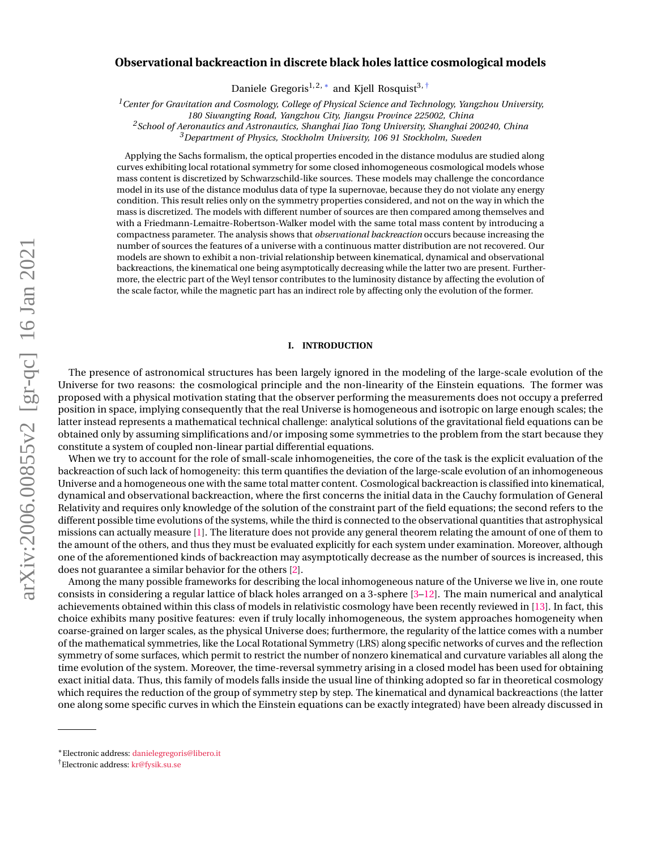# arXiv:2006.00855v2 [gr-qc] 16 Jan 2021 arXiv:2006.00855v2 [gr-qc] 16 Jan 2021

# **Observational backreaction in discrete black holes lattice cosmological models**

Daniele Gregoris $^{1,2,*}$  and Kjell Rosquist $^{3, \, \dagger}$ 

*<sup>1</sup>Center for Gravitation and Cosmology, College of Physical Science and Technology, Yangzhou University,*

*180 Siwangting Road, Yangzhou City, Jiangsu Province 225002, China*

*<sup>2</sup>School of Aeronautics and Astronautics, Shanghai Jiao Tong University, Shanghai 200240, China <sup>3</sup>Department of Physics, Stockholm University, 106 91 Stockholm, Sweden*

Applying the Sachs formalism, the optical properties encoded in the distance modulus are studied along curves exhibiting local rotational symmetry for some closed inhomogeneous cosmological models whose mass content is discretized by Schwarzschild-like sources. These models may challenge the concordance model in its use of the distance modulus data of type Ia supernovae, because they do not violate any energy condition. This result relies only on the symmetry properties considered, and not on the way in which the mass is discretized. The models with different number of sources are then compared among themselves and with a Friedmann-Lemaitre-Robertson-Walker model with the same total mass content by introducing a compactness parameter. The analysis shows that *observational backreaction* occurs because increasing the number of sources the features of a universe with a continuous matter distribution are not recovered. Our models are shown to exhibit a non-trivial relationship between kinematical, dynamical and observational backreactions, the kinematical one being asymptotically decreasing while the latter two are present. Furthermore, the electric part of the Weyl tensor contributes to the luminosity distance by affecting the evolution of the scale factor, while the magnetic part has an indirect role by affecting only the evolution of the former.

### **I. INTRODUCTION**

The presence of astronomical structures has been largely ignored in the modeling of the large-scale evolution of the Universe for two reasons: the cosmological principle and the non-linearity of the Einstein equations. The former was proposed with a physical motivation stating that the observer performing the measurements does not occupy a preferred position in space, implying consequently that the real Universe is homogeneous and isotropic on large enough scales; the latter instead represents a mathematical technical challenge: analytical solutions of the gravitational field equations can be obtained only by assuming simplifications and/or imposing some symmetries to the problem from the start because they constitute a system of coupled non-linear partial differential equations.

When we try to account for the role of small-scale inhomogeneities, the core of the task is the explicit evaluation of the backreaction of such lack of homogeneity: this term quantifies the deviation of the large-scale evolution of an inhomogeneous Universe and a homogeneous one with the same total matter content. Cosmological backreaction is classified into kinematical, dynamical and observational backreaction, where the first concerns the initial data in the Cauchy formulation of General Relativity and requires only knowledge of the solution of the constraint part of the field equations; the second refers to the different possible time evolutions of the systems, while the third is connected to the observational quantities that astrophysical missions can actually measure [\[1\]](#page-11-0). The literature does not provide any general theorem relating the amount of one of them to the amount of the others, and thus they must be evaluated explicitly for each system under examination. Moreover, although one of the aforementioned kinds of backreaction may asymptotically decrease as the number of sources is increased, this does not guarantee a similar behavior for the others [\[2\]](#page-11-1).

Among the many possible frameworks for describing the local inhomogeneous nature of the Universe we live in, one route consists in considering a regular lattice of black holes arranged on a 3-sphere [\[3](#page-11-2)[–12\]](#page-12-0). The main numerical and analytical achievements obtained within this class of models in relativistic cosmology have been recently reviewed in [\[13\]](#page-12-1). In fact, this choice exhibits many positive features: even if truly locally inhomogeneous, the system approaches homogeneity when coarse-grained on larger scales, as the physical Universe does; furthermore, the regularity of the lattice comes with a number of the mathematical symmetries, like the Local Rotational Symmetry (LRS) along specific networks of curves and the reflection symmetry of some surfaces, which permit to restrict the number of nonzero kinematical and curvature variables all along the time evolution of the system. Moreover, the time-reversal symmetry arising in a closed model has been used for obtaining exact initial data. Thus, this family of models falls inside the usual line of thinking adopted so far in theoretical cosmology which requires the reduction of the group of symmetry step by step. The kinematical and dynamical backreactions (the latter one along some specific curves in which the Einstein equations can be exactly integrated) have been already discussed in

<span id="page-0-0"></span><sup>∗</sup>Electronic address: [danielegregoris@libero.it](mailto:danielegregoris@libero.it)

<span id="page-0-1"></span><sup>†</sup>Electronic address: [kr@fysik.su.se](mailto:kr@fysik.su.se)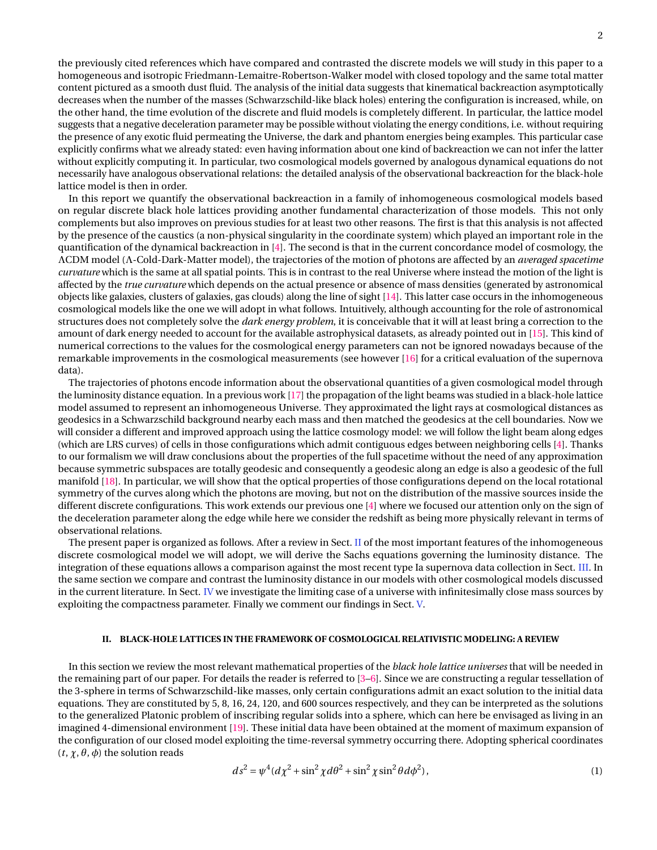the previously cited references which have compared and contrasted the discrete models we will study in this paper to a homogeneous and isotropic Friedmann-Lemaitre-Robertson-Walker model with closed topology and the same total matter content pictured as a smooth dust fluid. The analysis of the initial data suggests that kinematical backreaction asymptotically decreases when the number of the masses (Schwarzschild-like black holes) entering the configuration is increased, while, on the other hand, the time evolution of the discrete and fluid models is completely different. In particular, the lattice model suggests that a negative deceleration parameter may be possible without violating the energy conditions, i.e. without requiring the presence of any exotic fluid permeating the Universe, the dark and phantom energies being examples. This particular case explicitly confirms what we already stated: even having information about one kind of backreaction we can not infer the latter without explicitly computing it. In particular, two cosmological models governed by analogous dynamical equations do not necessarily have analogous observational relations: the detailed analysis of the observational backreaction for the black-hole lattice model is then in order.

In this report we quantify the observational backreaction in a family of inhomogeneous cosmological models based on regular discrete black hole lattices providing another fundamental characterization of those models. This not only complements but also improves on previous studies for at least two other reasons. The first is that this analysis is not affected by the presence of the caustics (a non-physical singularity in the coordinate system) which played an important role in the quantification of the dynamical backreaction in [\[4\]](#page-12-2). The second is that in the current concordance model of cosmology, the ΛCDM model (Λ-Cold-Dark-Matter model), the trajectories of the motion of photons are affected by an *averaged spacetime curvature* which is the same at all spatial points. This is in contrast to the real Universe where instead the motion of the light is affected by the *true curvature* which depends on the actual presence or absence of mass densities (generated by astronomical objects like galaxies, clusters of galaxies, gas clouds) along the line of sight [\[14\]](#page-12-3). This latter case occurs in the inhomogeneous cosmological models like the one we will adopt in what follows. Intuitively, although accounting for the role of astronomical structures does not completely solve the *dark energy problem*, it is conceivable that it will at least bring a correction to the amount of dark energy needed to account for the available astrophysical datasets, as already pointed out in [\[15\]](#page-12-4). This kind of numerical corrections to the values for the cosmological energy parameters can not be ignored nowadays because of the remarkable improvements in the cosmological measurements (see however [\[16\]](#page-12-5) for a critical evaluation of the supernova data).

The trajectories of photons encode information about the observational quantities of a given cosmological model through the luminosity distance equation. In a previous work [\[17\]](#page-12-6) the propagation of the light beams was studied in a black-hole lattice model assumed to represent an inhomogeneous Universe. They approximated the light rays at cosmological distances as geodesics in a Schwarzschild background nearby each mass and then matched the geodesics at the cell boundaries. Now we will consider a different and improved approach using the lattice cosmology model: we will follow the light beam along edges (which are LRS curves) of cells in those configurations which admit contiguous edges between neighboring cells [\[4\]](#page-12-2). Thanks to our formalism we will draw conclusions about the properties of the full spacetime without the need of any approximation because symmetric subspaces are totally geodesic and consequently a geodesic along an edge is also a geodesic of the full manifold [\[18\]](#page-12-7). In particular, we will show that the optical properties of those configurations depend on the local rotational symmetry of the curves along which the photons are moving, but not on the distribution of the massive sources inside the different discrete configurations. This work extends our previous one [\[4\]](#page-12-2) where we focused our attention only on the sign of the deceleration parameter along the edge while here we consider the redshift as being more physically relevant in terms of observational relations.

The present paper is organized as follows. After a review in Sect. [II](#page-1-0) of the most important features of the inhomogeneous discrete cosmological model we will adopt, we will derive the Sachs equations governing the luminosity distance. The integration of these equations allows a comparison against the most recent type Ia supernova data collection in Sect. [III.](#page-3-0) In the same section we compare and contrast the luminosity distance in our models with other cosmological models discussed in the current literature. In Sect. [IV](#page-9-0) we investigate the limiting case of a universe with infinitesimally close mass sources by exploiting the compactness parameter. Finally we comment our findings in Sect. [V.](#page-11-3)

# <span id="page-1-0"></span>**II. BLACK-HOLE LATTICES IN THE FRAMEWORK OF COSMOLOGICAL RELATIVISTIC MODELING: A REVIEW**

In this section we review the most relevant mathematical properties of the *black hole lattice universes* that will be needed in the remaining part of our paper. For details the reader is referred to [\[3](#page-11-2)[–6\]](#page-12-8). Since we are constructing a regular tessellation of the 3-sphere in terms of Schwarzschild-like masses, only certain configurations admit an exact solution to the initial data equations. They are constituted by 5, 8, 16, 24, 120, and 600 sources respectively, and they can be interpreted as the solutions to the generalized Platonic problem of inscribing regular solids into a sphere, which can here be envisaged as living in an imagined 4-dimensional environment [\[19\]](#page-12-9). These initial data have been obtained at the moment of maximum expansion of the configuration of our closed model exploiting the time-reversal symmetry occurring there. Adopting spherical coordinates (*t*, *χ*, *θ*, *φ*) the solution reads

$$
ds^{2} = \psi^{4}(d\chi^{2} + \sin^{2}\chi d\theta^{2} + \sin^{2}\chi \sin^{2}\theta d\phi^{2}),
$$
\n(1)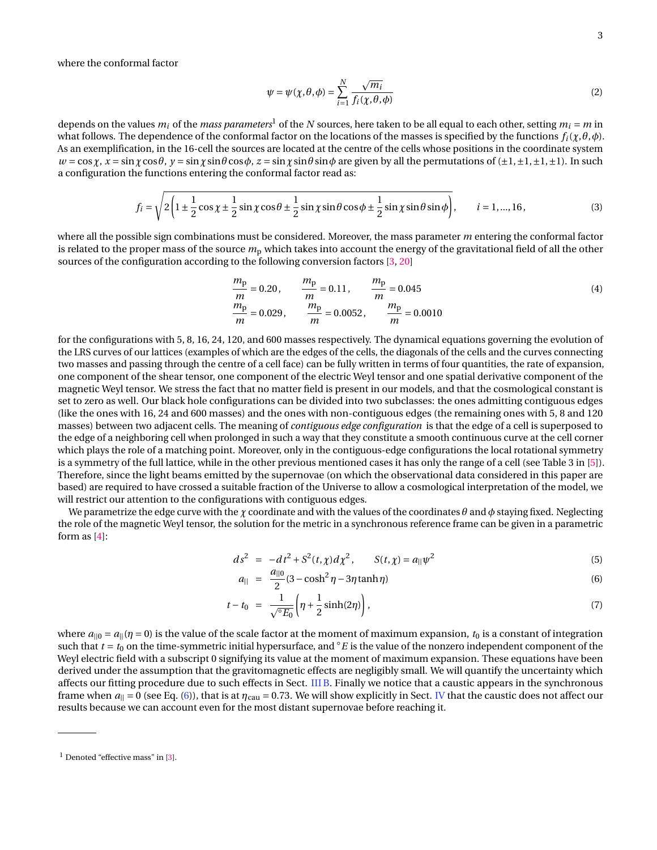where the conformal factor

$$
\psi = \psi(\chi, \theta, \phi) = \sum_{i=1}^{N} \frac{\sqrt{m_i}}{f_i(\chi, \theta, \phi)}
$$
(2)

depends on the values  $m_i$  of the *mass parameters*<sup>1</sup> of the *N* sources, here taken to be all equal to each other, setting  $m_i = m$  in what follows. The dependence of the conformal factor on the locations of the masses is specified by the functions  $f_i(\chi, \theta, \phi)$ . As an exemplification, in the 16-cell the sources are located at the centre of the cells whose positions in the coordinate system  $w = \cos \chi$ ,  $x = \sin \chi \cos \theta$ ,  $y = \sin \chi \sin \theta \cos \phi$ ,  $z = \sin \chi \sin \theta \sin \phi$  are given by all the permutations of ( $\pm 1, \pm 1, \pm 1$ ). In such a configuration the functions entering the conformal factor read as:

$$
f_i = \sqrt{2\left(1 \pm \frac{1}{2}\cos\chi \pm \frac{1}{2}\sin\chi\cos\theta \pm \frac{1}{2}\sin\chi\sin\theta\cos\phi \pm \frac{1}{2}\sin\chi\sin\theta\sin\phi\right)}, \qquad i = 1,...,16,
$$
\n(3)

where all the possible sign combinations must be considered. Moreover, the mass parameter *m* entering the conformal factor is related to the proper mass of the source  $m<sub>p</sub>$  which takes into account the energy of the gravitational field of all the other sources of the configuration according to the following conversion factors [\[3,](#page-11-2) [20\]](#page-12-10)

$$
\frac{m_{\rm p}}{m} = 0.20, \qquad \frac{m_{\rm p}}{m} = 0.11, \qquad \frac{m_{\rm p}}{m} = 0.045
$$
\n
$$
\frac{m_{\rm p}}{m} = 0.029, \qquad \frac{m_{\rm p}}{m} = 0.0052, \qquad \frac{m_{\rm p}}{m} = 0.0010
$$
\n(4)

for the configurations with 5, 8, 16, 24, 120, and 600 masses respectively. The dynamical equations governing the evolution of the LRS curves of our lattices (examples of which are the edges of the cells, the diagonals of the cells and the curves connecting two masses and passing through the centre of a cell face) can be fully written in terms of four quantities, the rate of expansion, one component of the shear tensor, one component of the electric Weyl tensor and one spatial derivative component of the magnetic Weyl tensor. We stress the fact that no matter field is present in our models, and that the cosmological constant is set to zero as well. Our black hole configurations can be divided into two subclasses: the ones admitting contiguous edges (like the ones with 16, 24 and 600 masses) and the ones with non-contiguous edges (the remaining ones with 5, 8 and 120 masses) between two adjacent cells. The meaning of *contiguous edge configuration* is that the edge of a cell is superposed to the edge of a neighboring cell when prolonged in such a way that they constitute a smooth continuous curve at the cell corner which plays the role of a matching point. Moreover, only in the contiguous-edge configurations the local rotational symmetry is a symmetry of the full lattice, while in the other previous mentioned cases it has only the range of a cell (see Table 3 in [\[5\]](#page-12-11)). Therefore, since the light beams emitted by the supernovae (on which the observational data considered in this paper are based) are required to have crossed a suitable fraction of the Universe to allow a cosmological interpretation of the model, we will restrict our attention to the configurations with contiguous edges.

We parametrize the edge curve with the *χ* coordinate and with the values of the coordinates *θ* and *φ* staying fixed. Neglecting the role of the magnetic Weyl tensor, the solution for the metric in a synchronous reference frame can be given in a parametric form as [\[4\]](#page-12-2):

<span id="page-2-0"></span>
$$
ds^{2} = -dt^{2} + S^{2}(t, \chi) d\chi^{2}, \qquad S(t, \chi) = a_{||} \psi^{2}
$$
\n(5)

$$
a_{\parallel} = \frac{a_{\parallel 0}}{2} (3 - \cosh^2 \eta - 3\eta \tanh \eta) \tag{6}
$$

$$
t - t_0 = \frac{1}{\sqrt{^{\circ}E_0}} \left( \eta + \frac{1}{2} \sinh(2\eta) \right), \tag{7}
$$

where  $a_{||0} = a_{||}(\eta = 0)$  is the value of the scale factor at the moment of maximum expansion,  $t_0$  is a constant of integration such that  $t = t_0$  on the time-symmetric initial hypersurface, and  $\degree E$  is the value of the nonzero independent component of the Weyl electric field with a subscript 0 signifying its value at the moment of maximum expansion. These equations have been derived under the assumption that the gravitomagnetic effects are negligibly small. We will quantify the uncertainty which affects our fitting procedure due to such effects in Sect. [III B.](#page-5-0) Finally we notice that a caustic appears in the synchronous frame when  $a_{\parallel} = 0$  (see Eq. [\(6\)](#page-2-0)), that is at  $\eta_{\text{caul}} = 0.73$ . We will show explicitly in Sect. [IV](#page-9-0) that the caustic does not affect our results because we can account even for the most distant supernovae before reaching it.

 $<sup>1</sup>$  Denoted "effective mass" in [\[3\]](#page-11-2).</sup>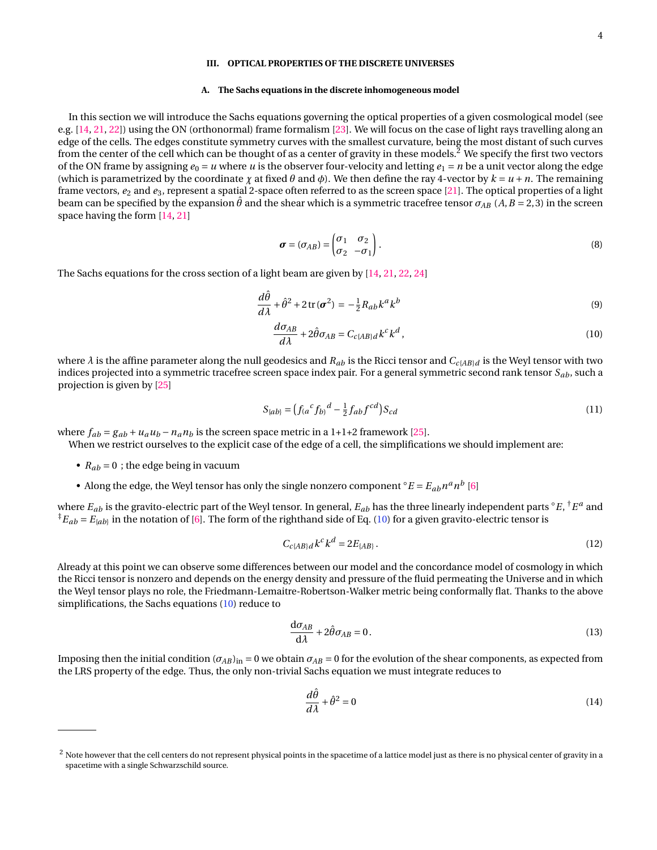# <span id="page-3-0"></span>**III. OPTICAL PROPERTIES OF THE DISCRETE UNIVERSES**

### **A. The Sachs equations in the discrete inhomogeneous model**

In this section we will introduce the Sachs equations governing the optical properties of a given cosmological model (see e.g. [\[14,](#page-12-3) [21,](#page-12-12) [22\]](#page-12-13)) using the ON (orthonormal) frame formalism [\[23\]](#page-12-14). We will focus on the case of light rays travelling along an edge of the cells. The edges constitute symmetry curves with the smallest curvature, being the most distant of such curves from the center of the cell which can be thought of as a center of gravity in these models.<sup>2</sup> We specify the first two vectors of the ON frame by assigning  $e_0 = u$  where *u* is the observer four-velocity and letting  $e_1 = n$  be a unit vector along the edge (which is parametrized by the coordinate  $\gamma$  at fixed  $\theta$  and  $\phi$ ). We then define the ray 4-vector by  $k = u + n$ . The remaining frame vectors,  $e_2$  and  $e_3$ , represent a spatial 2-space often referred to as the screen space [\[21\]](#page-12-12). The optical properties of a light beam can be specified by the expansion  $\hat{\theta}$  and the shear which is a symmetric tracefree tensor  $\sigma_{AB}$  (*A*, *B* = 2,3) in the screen space having the form [\[14,](#page-12-3) [21\]](#page-12-12)

$$
\boldsymbol{\sigma} = (\sigma_{AB}) = \begin{pmatrix} \sigma_1 & \sigma_2 \\ \sigma_2 & -\sigma_1 \end{pmatrix} . \tag{8}
$$

The Sachs equations for the cross section of a light beam are given by [\[14,](#page-12-3) [21,](#page-12-12) [22,](#page-12-13) [24\]](#page-12-15)

$$
\frac{d\hat{\theta}}{d\lambda} + \hat{\theta}^2 + 2\operatorname{tr}(\boldsymbol{\sigma}^2) = -\frac{1}{2}R_{ab}k^a k^b
$$
\n(9)

<span id="page-3-1"></span>
$$
\frac{d\sigma_{AB}}{d\lambda} + 2\hat{\theta}\sigma_{AB} = C_{c\{AB\}}d\,k^c\,k^d\,,\tag{10}
$$

where  $\lambda$  is the affine parameter along the null geodesics and  $R_{ab}$  is the Ricci tensor and  $C_{c{AB}d}$  is the Weyl tensor with two indices projected into a symmetric tracefree screen space index pair. For a general symmetric second rank tensor *Sab*, such a projection is given by [\[25\]](#page-12-16)

$$
S_{\{ab\}} = \left(f_{(a}{}^{c} f_{b)}{}^{d} - \frac{1}{2} f_{ab} f^{cd}\right) S_{cd} \tag{11}
$$

where  $f_{ab} = g_{ab} + u_a u_b - n_a n_b$  is the screen space metric in a 1+1+2 framework [\[25\]](#page-12-16).

When we restrict ourselves to the explicit case of the edge of a cell, the simplifications we should implement are:

- $R_{ab} = 0$ ; the edge being in vacuum
- Along the edge, the Weyl tensor has only the single nonzero component  ${}^{\circ}E = E_{ab} n^a n^b$  [\[6\]](#page-12-8)

where  $E_{ab}$  is the gravito-electric part of the Weyl tensor. In general,  $E_{ab}$  has the three linearly independent parts  $^\circ E, ^\dagger E^a$  and  ${}^{\ddagger}E_{ab}$  =  $E_{[ab]}$  in the notation of [\[6\]](#page-12-8). The form of the righthand side of Eq. [\(10\)](#page-3-1) for a given gravito-electric tensor is

$$
C_{c{AB}d}k^{c}k^{d} = 2E_{[AB]}.
$$
 (12)

Already at this point we can observe some differences between our model and the concordance model of cosmology in which the Ricci tensor is nonzero and depends on the energy density and pressure of the fluid permeating the Universe and in which the Weyl tensor plays no role, the Friedmann-Lemaitre-Robertson-Walker metric being conformally flat. Thanks to the above simplifications, the Sachs equations [\(10\)](#page-3-1) reduce to

$$
\frac{\mathrm{d}\sigma_{AB}}{\mathrm{d}\lambda} + 2\hat{\theta}\sigma_{AB} = 0. \tag{13}
$$

Imposing then the initial condition  $(\sigma_{AB})_{in} = 0$  we obtain  $\sigma_{AB} = 0$  for the evolution of the shear components, as expected from the LRS property of the edge. Thus, the only non-trivial Sachs equation we must integrate reduces to

$$
\frac{d\hat{\theta}}{d\lambda} + \hat{\theta}^2 = 0\tag{14}
$$

 $^2$  Note however that the cell centers do not represent physical points in the spacetime of a lattice model just as there is no physical center of gravity in a spacetime with a single Schwarzschild source.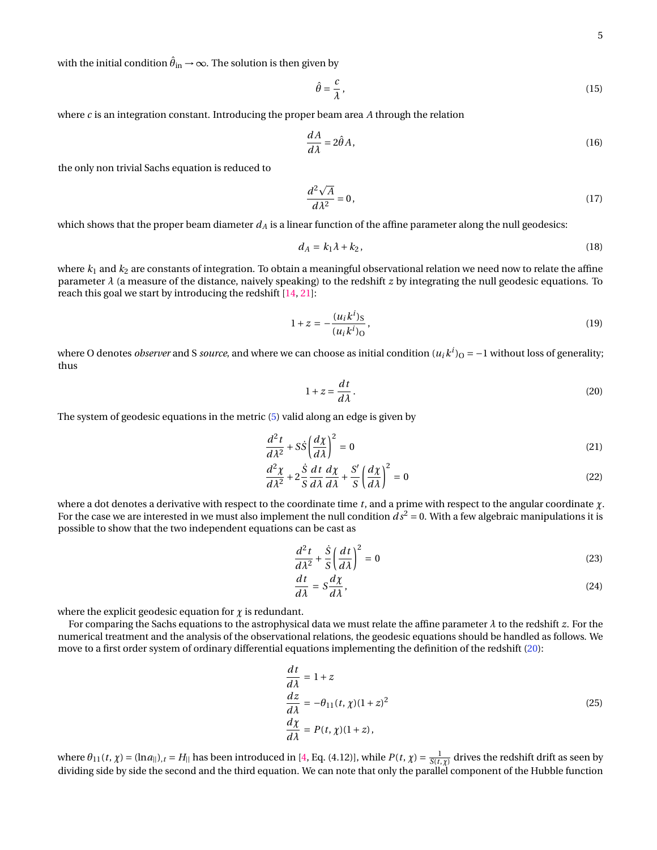with the initial condition  $\hat{\theta}_{\rm in}$  →  $\infty$ . The solution is then given by

$$
\hat{\theta} = \frac{c}{\lambda},\tag{15}
$$

where  $c$  is an integration constant. Introducing the proper beam area  $A$  through the relation

$$
\frac{dA}{d\lambda} = 2\hat{\theta}A,\tag{16}
$$

the only non trivial Sachs equation is reduced to

$$
\frac{d^2\sqrt{A}}{d\lambda^2} = 0,\t(17)
$$

which shows that the proper beam diameter  $d_A$  is a linear function of the affine parameter along the null geodesics:

<span id="page-4-2"></span>
$$
d_A = k_1 \lambda + k_2, \tag{18}
$$

where  $k_1$  and  $k_2$  are constants of integration. To obtain a meaningful observational relation we need now to relate the affine parameter *λ* (a measure of the distance, naively speaking) to the redshift *z* by integrating the null geodesic equations. To reach this goal we start by introducing the redshift [\[14,](#page-12-3) [21\]](#page-12-12):

$$
1 + z = -\frac{(u_i k^i)_S}{(u_i k^i)_O},\tag{19}
$$

where O denotes *observer* and S *source*, and where we can choose as initial condition ( $u_ik^i)_O$  = −1 without loss of generality; thus

<span id="page-4-0"></span>
$$
1 + z = \frac{dt}{d\lambda}.
$$
 (20)

The system of geodesic equations in the metric [\(5\)](#page-2-0) valid along an edge is given by

$$
\frac{d^2t}{d\lambda^2} + S\dot{S}\left(\frac{d\chi}{d\lambda}\right)^2 = 0\tag{21}
$$

$$
\frac{d^2\chi}{d\lambda^2} + 2\frac{\dot{S}}{S}\frac{dt}{d\lambda}\frac{d\chi}{d\lambda} + \frac{S'}{S}\left(\frac{d\chi}{d\lambda}\right)^2 = 0
$$
\n(22)

where a dot denotes a derivative with respect to the coordinate time *t*, and a prime with respect to the angular coordinate *χ*. For the case we are interested in we must also implement the null condition  $\bar{ds}^2 = 0$ . With a few algebraic manipulations it is possible to show that the two independent equations can be cast as

$$
\frac{d^2t}{d\lambda^2} + \frac{\dot{S}}{S} \left(\frac{dt}{d\lambda}\right)^2 = 0
$$
\n(23)

$$
\frac{dt}{d\lambda} = S\frac{d\chi}{d\lambda},\tag{24}
$$

where the explicit geodesic equation for  $\chi$  is redundant.

For comparing the Sachs equations to the astrophysical data we must relate the affine parameter *λ* to the redshift *z*. For the numerical treatment and the analysis of the observational relations, the geodesic equations should be handled as follows. We move to a first order system of ordinary differential equations implementing the definition of the redshift [\(20\)](#page-4-0):

<span id="page-4-1"></span>
$$
\begin{aligned}\n\frac{dt}{d\lambda} &= 1 + z\\ \n\frac{dz}{d\lambda} &= -\theta_{11}(t, \chi)(1+z)^2\\ \n\frac{d\chi}{d\lambda} &= P(t, \chi)(1+z),\n\end{aligned} \tag{25}
$$

where  $\theta_{11}(t,\chi) = (\ln a_{||})_{,t} = H_{||}$  has been introduced in [\[4,](#page-12-2) Eq. (4.12)], while  $P(t,\chi) = \frac{1}{S(t,\chi)}$  drives the redshift drift as seen by dividing side by side the second and the third equation. We can note that only the parallel component of the Hubble function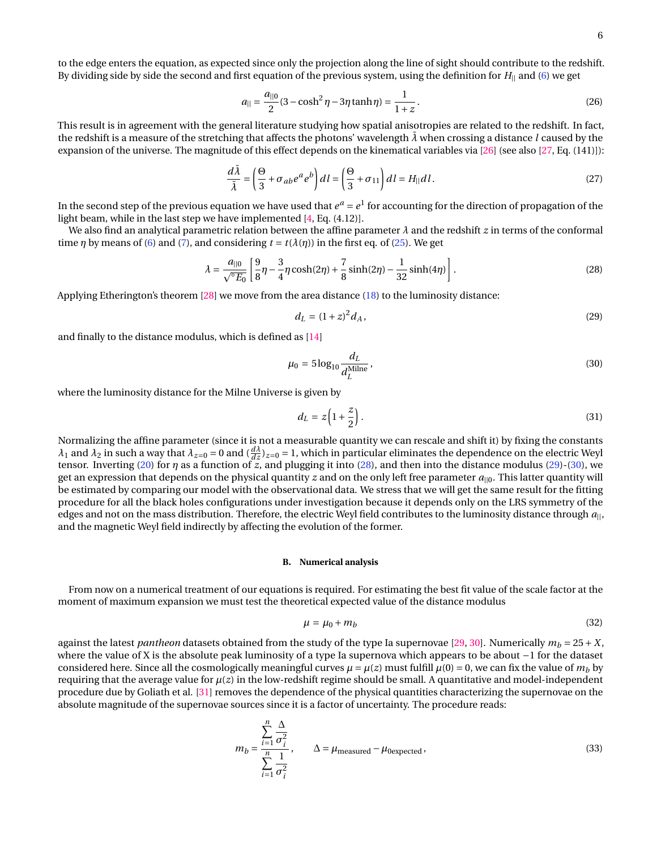to the edge enters the equation, as expected since only the projection along the line of sight should contribute to the redshift. By dividing side by side the second and first equation of the previous system, using the definition for *H*|| and [\(6\)](#page-2-0) we get

$$
a_{\parallel} = \frac{a_{\parallel 0}}{2} (3 - \cosh^2 \eta - 3\eta \tanh \eta) = \frac{1}{1 + z}.
$$
 (26)

This result is in agreement with the general literature studying how spatial anisotropies are related to the redshift. In fact, the redshift is a measure of the stretching that affects the photons' wavelength  $\lambda$  when crossing a distance *l* caused by the expansion of the universe. The magnitude of this effect depends on the kinematical variables via [\[26\]](#page-12-17) (see also [\[27,](#page-12-18) Eq. (141)]):

$$
\frac{d\bar{\lambda}}{\bar{\lambda}} = \left(\frac{\Theta}{3} + \sigma_{ab}e^a e^b\right) dl = \left(\frac{\Theta}{3} + \sigma_{11}\right) dl = H_{||} dl. \tag{27}
$$

In the second step of the previous equation we have used that  $e^a = e^1$  for accounting for the direction of propagation of the light beam, while in the last step we have implemented [\[4,](#page-12-2) Eq. (4.12)].

We also find an analytical parametric relation between the affine parameter *λ* and the redshift *z* in terms of the conformal time *η* by means of [\(6\)](#page-2-0) and [\(7\)](#page-2-0), and considering  $t = t(\lambda(\eta))$  in the first eq. of [\(25\)](#page-4-1). We get

<span id="page-5-1"></span>
$$
\lambda = \frac{a_{\parallel 0}}{\sqrt{E_0}} \left[ \frac{9}{8} \eta - \frac{3}{4} \eta \cosh(2\eta) + \frac{7}{8} \sinh(2\eta) - \frac{1}{32} \sinh(4\eta) \right].
$$
 (28)

Applying Etherington's theorem [\[28\]](#page-12-19) we move from the area distance [\(18\)](#page-4-2) to the luminosity distance:

<span id="page-5-2"></span>
$$
d_L = (1+z)^2 d_A,
$$
\n(29)

and finally to the distance modulus, which is defined as [\[14\]](#page-12-3)

<span id="page-5-3"></span>
$$
\mu_0 = 5\log_{10}\frac{d_L}{d_L^{\text{Milne}}},\tag{30}
$$

where the luminosity distance for the Milne Universe is given by

$$
d_L = z \left( 1 + \frac{z}{2} \right). \tag{31}
$$

Normalizing the affine parameter (since it is not a measurable quantity we can rescale and shift it) by fixing the constants *λ*<sub>1</sub> and *λ*<sub>2</sub> in such a way that  $λ_{z=0} = 0$  and  $(\frac{dλ}{dz})_{z=0} = 1$ , which in particular eliminates the dependence on the electric Weyl tensor. Inverting [\(20\)](#page-4-0) for *η* as a function of *z*, and plugging it into [\(28\)](#page-5-1), and then into the distance modulus [\(29\)](#page-5-2)-[\(30\)](#page-5-3), we get an expression that depends on the physical quantity *z* and on the only left free parameter  $a_{\parallel 0}$ . This latter quantity will be estimated by comparing our model with the observational data. We stress that we will get the same result for the fitting procedure for all the black holes configurations under investigation because it depends only on the LRS symmetry of the edges and not on the mass distribution. Therefore, the electric Weyl field contributes to the luminosity distance through *a*||, and the magnetic Weyl field indirectly by affecting the evolution of the former.

# <span id="page-5-0"></span>**B. Numerical analysis**

From now on a numerical treatment of our equations is required. For estimating the best fit value of the scale factor at the moment of maximum expansion we must test the theoretical expected value of the distance modulus

<span id="page-5-4"></span>
$$
\mu = \mu_0 + m_b \tag{32}
$$

against the latest *pantheon* datasets obtained from the study of the type Ia supernovae [\[29,](#page-12-20) [30\]](#page-12-21). Numerically  $m_b = 25 + X$ , where the value of X is the absolute peak luminosity of a type Ia supernova which appears to be about −1 for the dataset considered here. Since all the cosmologically meaningful curves  $\mu = \mu(z)$  must fulfill  $\mu(0) = 0$ , we can fix the value of  $m_b$  by requiring that the average value for  $\mu(z)$  in the low-redshift regime should be small. A quantitative and model-independent procedure due by Goliath et al. [\[31\]](#page-12-22) removes the dependence of the physical quantities characterizing the supernovae on the absolute magnitude of the supernovae sources since it is a factor of uncertainty. The procedure reads:

$$
m_b = \frac{\sum_{i=1}^{n} \frac{\Delta}{\sigma_i^2}}{\sum_{i=1}^{n} \frac{1}{\sigma_i^2}}, \qquad \Delta = \mu_{\text{measured}} - \mu_{\text{0expected}},
$$
\n(33)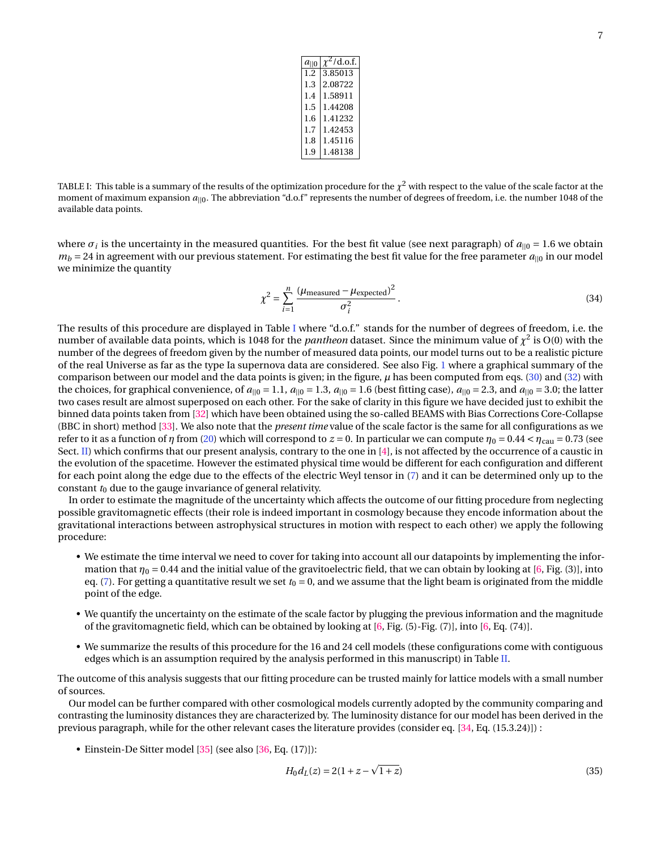| $a_{\parallel 0}$ | $\chi^2$ /d.o.f. |
|-------------------|------------------|
| 1.2               | 3.85013          |
| 1.3               | 2.08722          |
| 1.4               | 1.58911          |
| 1.5               | 1.44208          |
| 1.6               | 1.41232          |
| 1.7               | 1.42453          |
| 1.8               | 1.45116          |
| 1.9               | 1.48138          |

<span id="page-6-0"></span>TABLE I: This table is a summary of the results of the optimization procedure for the  $\chi^2$  with respect to the value of the scale factor at the moment of maximum expansion  $a_{\parallel 0}$ . The abbreviation "d.o.f" represents the number of degrees of freedom, i.e. the number 1048 of the available data points.

where  $\sigma_i$  is the uncertainty in the measured quantities. For the best fit value (see next paragraph) of  $a_{||0} = 1.6$  we obtain  $m_b = 24$  in agreement with our previous statement. For estimating the best fit value for the free parameter  $a_{||0}$  in our model we minimize the quantity

$$
\chi^2 = \sum_{i=1}^n \frac{(\mu_{\text{measured}} - \mu_{\text{expected}})^2}{\sigma_i^2}.
$$
\n(34)

The results of this procedure are displayed in Table [I](#page-6-0) where "d.o.f." stands for the number of degrees of freedom, i.e. the number of available data points, which is 1048 for the *pantheon* dataset. Since the minimum value of  $\chi^2$  is O(0) with the number of the degrees of freedom given by the number of measured data points, our model turns out to be a realistic picture of the real Universe as far as the type Ia supernova data are considered. See also Fig. [1](#page-7-0) where a graphical summary of the comparison between our model and the data points is given; in the figure, *µ* has been computed from eqs. [\(30\)](#page-5-3) and [\(32\)](#page-5-4) with the choices, for graphical convenience, of  $a_{||0} = 1.1$ ,  $a_{||0} = 1.3$ ,  $a_{||0} = 1.6$  (best fitting case),  $a_{||0} = 2.3$ , and  $a_{||0} = 3.0$ ; the latter two cases result are almost superposed on each other. For the sake of clarity in this figure we have decided just to exhibit the binned data points taken from [\[32\]](#page-12-23) which have been obtained using the so-called BEAMS with Bias Corrections Core-Collapse (BBC in short) method [\[33\]](#page-12-24). We also note that the *present time* value of the scale factor is the same for all configurations as we refer to it as a function of *η* from [\(20\)](#page-4-0) which will correspond to  $z = 0$ . In particular we can compute  $η_0 = 0.44 < η_{\text{cal}} = 0.73$  (see Sect. [II\)](#page-1-0) which confirms that our present analysis, contrary to the one in [\[4\]](#page-12-2), is not affected by the occurrence of a caustic in the evolution of the spacetime. However the estimated physical time would be different for each configuration and different for each point along the edge due to the effects of the electric Weyl tensor in [\(7\)](#page-2-0) and it can be determined only up to the constant  $t_0$  due to the gauge invariance of general relativity.

In order to estimate the magnitude of the uncertainty which affects the outcome of our fitting procedure from neglecting possible gravitomagnetic effects (their role is indeed important in cosmology because they encode information about the gravitational interactions between astrophysical structures in motion with respect to each other) we apply the following procedure:

- We estimate the time interval we need to cover for taking into account all our datapoints by implementing the information that  $\eta_0 = 0.44$  and the initial value of the gravitoelectric field, that we can obtain by looking at [\[6,](#page-12-8) Fig. (3)], into eq. [\(7\)](#page-2-0). For getting a quantitative result we set  $t_0 = 0$ , and we assume that the light beam is originated from the middle point of the edge.
- We quantify the uncertainty on the estimate of the scale factor by plugging the previous information and the magnitude of the gravitomagnetic field, which can be obtained by looking at [\[6,](#page-12-8) Fig. (5)-Fig. (7)], into [\[6,](#page-12-8) Eq. (74)].
- We summarize the results of this procedure for the 16 and 24 cell models (these configurations come with contiguous edges which is an assumption required by the analysis performed in this manuscript) in Table [II.](#page-7-1)

The outcome of this analysis suggests that our fitting procedure can be trusted mainly for lattice models with a small number of sources.

Our model can be further compared with other cosmological models currently adopted by the community comparing and contrasting the luminosity distances they are characterized by. The luminosity distance for our model has been derived in the previous paragraph, while for the other relevant cases the literature provides (consider eq. [\[34,](#page-12-25) Eq. (15.3.24)]) :

• Einstein-De Sitter model [\[35\]](#page-12-26) (see also [\[36,](#page-12-27) Eq. (17)]):

<span id="page-6-1"></span>
$$
H_0 d_L(z) = 2(1 + z - \sqrt{1 + z})
$$
\n(35)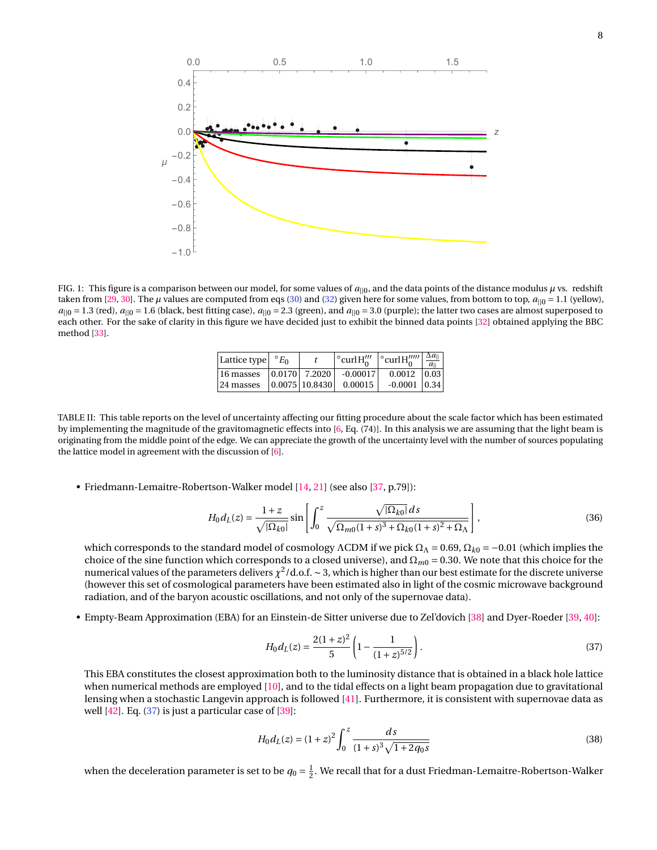

<span id="page-7-0"></span>FIG. 1: This figure is a comparison between our model, for some values of  $a_{||0}$ , and the data points of the distance modulus  $\mu$  vs. redshift taken from [\[29,](#page-12-20) [30\]](#page-12-21). The  $\mu$  values are computed from eqs [\(30\)](#page-5-3) and [\(32\)](#page-5-4) given here for some values, from bottom to top,  $a_{||0} = 1.1$  (yellow),  $a_{||0} = 1.3$  (red),  $a_{||0} = 1.6$  (black, best fitting case),  $a_{||0} = 2.3$  (green), and  $a_{||0} = 3.0$  (purple); the latter two cases are almost superposed to each other. For the sake of clarity in this figure we have decided just to exhibit the binned data points [\[32\]](#page-12-23) obtained applying the BBC method [\[33\]](#page-12-24).

| Lattice type $\vert C E_0 \vert$                                 |  | $\circ$ curl H <sup><math>\prime\prime\prime</math></sup> | $\cos \left  \frac{\partial u}{\partial u} \right  \right  \frac{\Delta a_{  }}{a_{  }}$ |  |
|------------------------------------------------------------------|--|-----------------------------------------------------------|------------------------------------------------------------------------------------------|--|
| 16 masses   0.0170   7.2020   $-0.00017$                         |  |                                                           | $0.0012$ 0.03                                                                            |  |
| $\vert$ 24 masses $\vert$ 0.0075 $\vert$ 10.8430 $\vert$ 0.00015 |  |                                                           | $-0.0001$ 0.34                                                                           |  |

<span id="page-7-1"></span>TABLE II: This table reports on the level of uncertainty affecting our fitting procedure about the scale factor which has been estimated by implementing the magnitude of the gravitomagnetic effects into [\[6,](#page-12-8) Eq. (74)]. In this analysis we are assuming that the light beam is originating from the middle point of the edge. We can appreciate the growth of the uncertainty level with the number of sources populating the lattice model in agreement with the discussion of [\[6\]](#page-12-8).

• Friedmann-Lemaitre-Robertson-Walker model [\[14,](#page-12-3) [21\]](#page-12-12) (see also [\[37,](#page-12-28) p.79]):

<span id="page-7-3"></span>
$$
H_0 d_L(z) = \frac{1+z}{\sqrt{|\Omega_{k0}|}} \sin \left[ \int_0^z \frac{\sqrt{|\Omega_{k0}|} ds}{\sqrt{\Omega_{m0}(1+s)^3 + \Omega_{k0}(1+s)^2 + \Omega_{\Lambda}}} \right],
$$
(36)

which corresponds to the standard model of cosmology ΛCDM if we pick  $Ω<sub>Λ</sub> = 0.69, Ω<sub>k0</sub> = -0.01$  (which implies the choice of the sine function which corresponds to a closed universe), and  $\Omega_{m0} = 0.30$ . We note that this choice for the numerical values of the parameters delivers *χ* 2 /d.o.f. ∼ 3, which is higher than our best estimate for the discrete universe (however this set of cosmological parameters have been estimated also in light of the cosmic microwave background radiation, and of the baryon acoustic oscillations, and not only of the supernovae data).

• Empty-Beam Approximation (EBA) for an Einstein-de Sitter universe due to Zel'dovich [\[38\]](#page-12-29) and Dyer-Roeder [\[39,](#page-12-30) [40\]](#page-13-0):

<span id="page-7-2"></span>
$$
H_0 d_L(z) = \frac{2(1+z)^2}{5} \left(1 - \frac{1}{(1+z)^{5/2}}\right).
$$
\n(37)

This EBA constitutes the closest approximation both to the luminosity distance that is obtained in a black hole lattice when numerical methods are employed [\[10\]](#page-12-31), and to the tidal effects on a light beam propagation due to gravitational lensing when a stochastic Langevin approach is followed [\[41\]](#page-13-1). Furthermore, it is consistent with supernovae data as well [\[42\]](#page-13-2). Eq. [\(37\)](#page-7-2) is just a particular case of [\[39\]](#page-12-30):

<span id="page-7-4"></span>
$$
H_0 d_L(z) = (1+z)^2 \int_0^z \frac{ds}{(1+s)^3 \sqrt{1+2q_0 s}}
$$
\n(38)

when the deceleration parameter is set to be  $q_0 = \frac{1}{2}$ . We recall that for a dust Friedman-Lemaitre-Robertson-Walker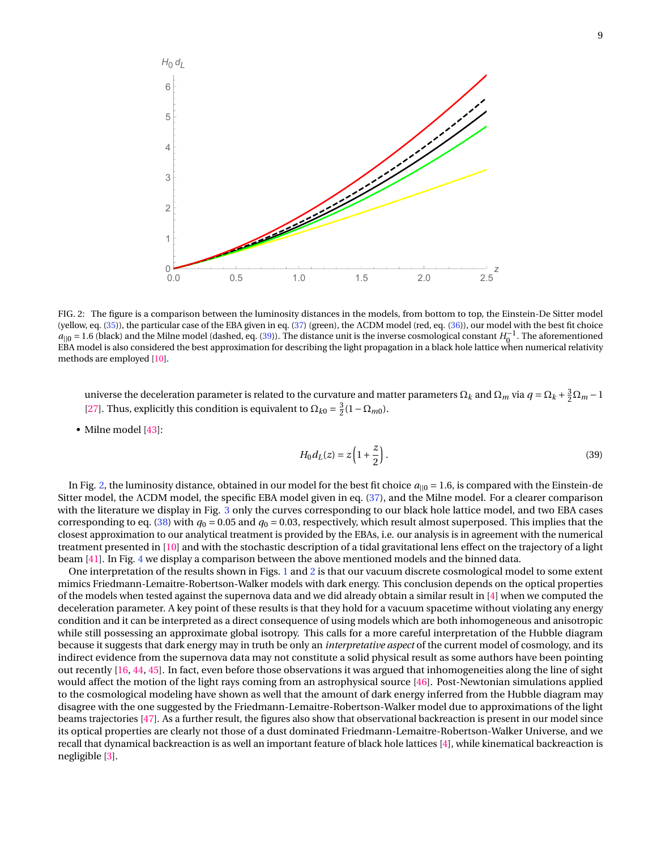

<span id="page-8-1"></span>FIG. 2: The figure is a comparison between the luminosity distances in the models, from bottom to top, the Einstein-De Sitter model (yellow, eq. [\(35\)](#page-6-1)), the particular case of the EBA given in eq. [\(37\)](#page-7-2) (green), the ΛCDM model (red, eq. [\(36\)](#page-7-3)), our model with the best fit choice  $a_{||0} = 1.6$  (black) and the Milne model (dashed, eq. [\(39\)](#page-8-0)). The distance unit is the inverse cosmological constant *H*<sub>0</sub><sup>-1</sup>. The aforementioned EBA model is also considered the best approximation for describing the light propagation in a black hole lattice when numerical relativity methods are employed [\[10\]](#page-12-31).

universe the deceleration parameter is related to the curvature and matter parameters  $\Omega_k$  and  $\Omega_m$  via  $q = \Omega_k + \frac{3}{2}\Omega_m - 1$ [\[27\]](#page-12-18). Thus, explicitly this condition is equivalent to  $\Omega_{k0} = \frac{3}{2}(1 - \Omega_{m0})$ .

• Milne model [\[43\]](#page-13-3):

<span id="page-8-0"></span>
$$
H_0 d_L(z) = z \left( 1 + \frac{z}{2} \right). \tag{39}
$$

In Fig. [2,](#page-8-1) the luminosity distance, obtained in our model for the best fit choice  $a_{||0} = 1.6$ , is compared with the Einstein-de Sitter model, the ΛCDM model, the specific EBA model given in eq. [\(37\)](#page-7-2), and the Milne model. For a clearer comparison with the literature we display in Fig. [3](#page-9-1) only the curves corresponding to our black hole lattice model, and two EBA cases corresponding to eq. [\(38\)](#page-7-4) with  $q_0 = 0.05$  and  $q_0 = 0.03$ , respectively, which result almost superposed. This implies that the closest approximation to our analytical treatment is provided by the EBAs, i.e. our analysis is in agreement with the numerical treatment presented in [\[10\]](#page-12-31) and with the stochastic description of a tidal gravitational lens effect on the trajectory of a light beam [\[41\]](#page-13-1). In Fig. [4](#page-9-2) we display a comparison between the above mentioned models and the binned data.

One interpretation of the results shown in Figs. [1](#page-7-0) and [2](#page-8-1) is that our vacuum discrete cosmological model to some extent mimics Friedmann-Lemaitre-Robertson-Walker models with dark energy. This conclusion depends on the optical properties of the models when tested against the supernova data and we did already obtain a similar result in [\[4\]](#page-12-2) when we computed the deceleration parameter. A key point of these results is that they hold for a vacuum spacetime without violating any energy condition and it can be interpreted as a direct consequence of using models which are both inhomogeneous and anisotropic while still possessing an approximate global isotropy. This calls for a more careful interpretation of the Hubble diagram because it suggests that dark energy may in truth be only an *interpretative aspect* of the current model of cosmology, and its indirect evidence from the supernova data may not constitute a solid physical result as some authors have been pointing out recently [\[16,](#page-12-5) [44,](#page-13-4) [45\]](#page-13-5). In fact, even before those observations it was argued that inhomogeneities along the line of sight would affect the motion of the light rays coming from an astrophysical source [\[46\]](#page-13-6). Post-Newtonian simulations applied to the cosmological modeling have shown as well that the amount of dark energy inferred from the Hubble diagram may disagree with the one suggested by the Friedmann-Lemaitre-Robertson-Walker model due to approximations of the light beams trajectories [\[47\]](#page-13-7). As a further result, the figures also show that observational backreaction is present in our model since its optical properties are clearly not those of a dust dominated Friedmann-Lemaitre-Robertson-Walker Universe, and we recall that dynamical backreaction is as well an important feature of black hole lattices [\[4\]](#page-12-2), while kinematical backreaction is negligible [\[3\]](#page-11-2).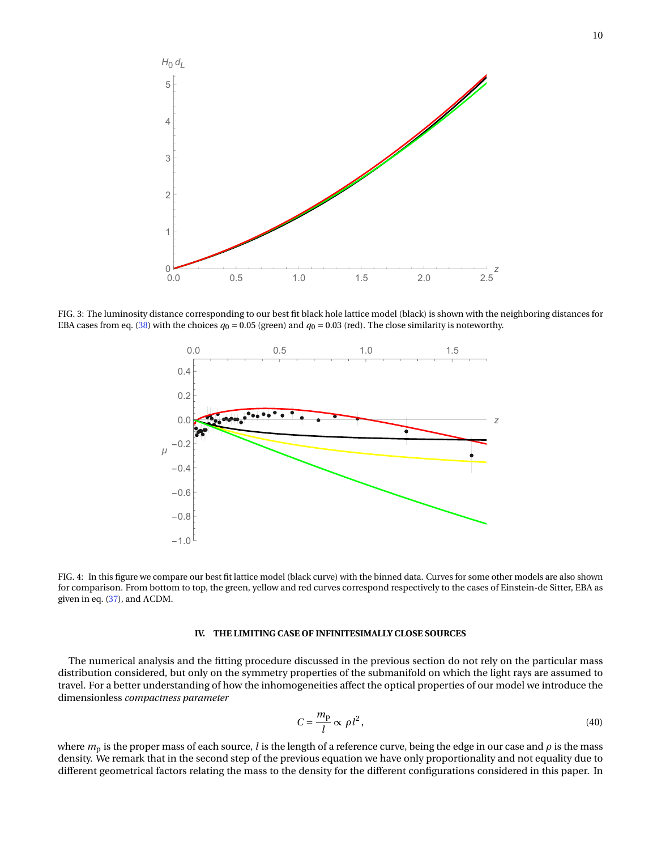

<span id="page-9-1"></span>FIG. 3: The luminosity distance corresponding to our best fit black hole lattice model (black) is shown with the neighboring distances for EBA cases from eq. [\(38\)](#page-7-4) with the choices  $q_0 = 0.05$  (green) and  $q_0 = 0.03$  (red). The close similarity is noteworthy.



<span id="page-9-2"></span>FIG. 4: In this figure we compare our best fit lattice model (black curve) with the binned data. Curves for some other models are also shown for comparison. From bottom to top, the green, yellow and red curves correspond respectively to the cases of Einstein-de Sitter, EBA as given in eq. [\(37\)](#page-7-2), and ΛCDM.

# <span id="page-9-0"></span>**IV. THE LIMITING CASE OF INFINITESIMALLY CLOSE SOURCES**

The numerical analysis and the fitting procedure discussed in the previous section do not rely on the particular mass distribution considered, but only on the symmetry properties of the submanifold on which the light rays are assumed to travel. For a better understanding of how the inhomogeneities affect the optical properties of our model we introduce the dimensionless *compactness parameter*

$$
C = \frac{m_{\rm p}}{l} \propto \rho l^2,\tag{40}
$$

where *m*<sup>p</sup> is the proper mass of each source, *l* is the length of a reference curve, being the edge in our case and *ρ* is the mass density. We remark that in the second step of the previous equation we have only proportionality and not equality due to different geometrical factors relating the mass to the density for the different configurations considered in this paper. In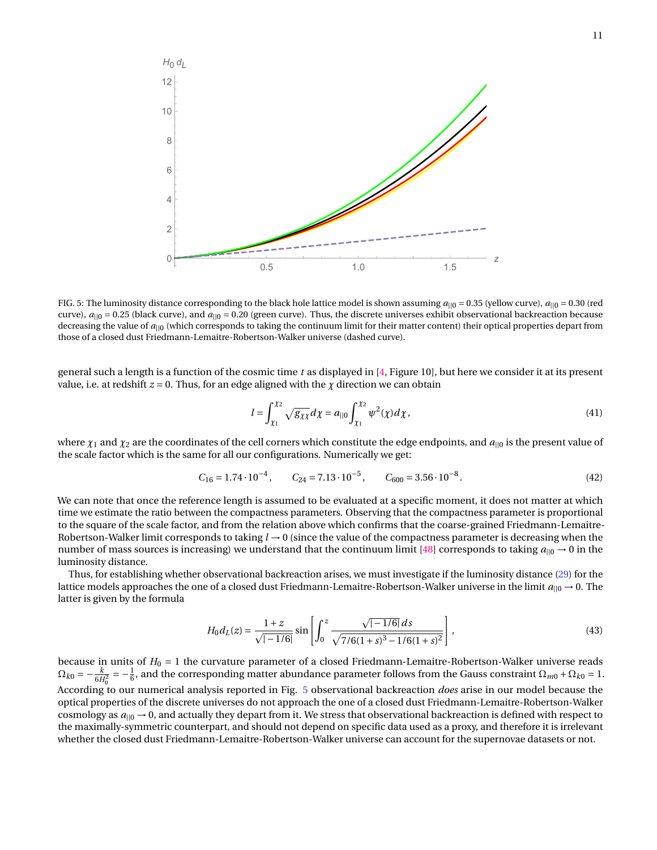

<span id="page-10-0"></span>FIG. 5: The luminosity distance corresponding to the black hole lattice model is shown assuming  $a_{||0} = 0.35$  (yellow curve),  $a_{||0} = 0.30$  (red curve),  $a_{||0} = 0.25$  (black curve), and  $a_{||0} = 0.20$  (green curve). Thus, the discrete universes exhibit observational backreaction because decreasing the value of *a*||0 (which corresponds to taking the continuum limit for their matter content) their optical properties depart from those of a closed dust Friedmann-Lemaitre-Robertson-Walker universe (dashed curve).

general such a length is a function of the cosmic time *t* as displayed in [\[4,](#page-12-2) Figure 10], but here we consider it at its present value, i.e. at redshift  $z = 0$ . Thus, for an edge aligned with the  $\chi$  direction we can obtain

$$
l = \int_{\chi_1}^{\chi_2} \sqrt{g_{\chi\chi}} d\chi = a_{||0} \int_{\chi_1}^{\chi_2} \psi^2(\chi) d\chi,
$$
\n(41)

where *χ*<sup>1</sup> and *χ*<sup>2</sup> are the coordinates of the cell corners which constitute the edge endpoints, and *a*||<sup>0</sup> is the present value of the scale factor which is the same for all our configurations. Numerically we get:

$$
C_{16} = 1.74 \cdot 10^{-4}, \qquad C_{24} = 7.13 \cdot 10^{-5}, \qquad C_{600} = 3.56 \cdot 10^{-8}.
$$
 (42)

We can note that once the reference length is assumed to be evaluated at a specific moment, it does not matter at which time we estimate the ratio between the compactness parameters. Observing that the compactness parameter is proportional to the square of the scale factor, and from the relation above which confirms that the coarse-grained Friedmann-Lemaitre-Robertson-Walker limit corresponds to taking *l* → 0 (since the value of the compactness parameter is decreasing when the number of mass sources is increasing) we understand that the continuum limit [\[48\]](#page-13-8) corresponds to taking  $a_{\parallel 0} \rightarrow 0$  in the luminosity distance.

Thus, for establishing whether observational backreaction arises, we must investigate if the luminosity distance [\(29\)](#page-5-2) for the lattice models approaches the one of a closed dust Friedmann-Lemaitre-Robertson-Walker universe in the limit  $a_{||0} \rightarrow 0$ . The latter is given by the formula

$$
H_0 d_L(z) = \frac{1+z}{\sqrt{|-1/6|}} \sin \left[ \int_0^z \frac{\sqrt{|-1/6|} \, ds}{\sqrt{7/6(1+s)^3 - 1/6(1+s)^2}} \right],\tag{43}
$$

because in units of  $H_0 = 1$  the curvature parameter of a closed Friedmann-Lemaitre-Robertson-Walker universe reads  $\Omega_{k0} = -\frac{k}{6H_0^2}$  $=-\frac{1}{6}$ , and the corresponding matter abundance parameter follows from the Gauss constraint  $\Omega_{m0}$  +  $\Omega_{k0}$  = 1. According to our numerical analysis reported in Fig. [5](#page-10-0) observational backreaction *does* arise in our model because the optical properties of the discrete universes do not approach the one of a closed dust Friedmann-Lemaitre-Robertson-Walker cosmology as  $a_{\parallel 0} \rightarrow 0$ , and actually they depart from it. We stress that observational backreaction is defined with respect to the maximally-symmetric counterpart, and should not depend on specific data used as a proxy, and therefore it is irrelevant whether the closed dust Friedmann-Lemaitre-Robertson-Walker universe can account for the supernovae datasets or not.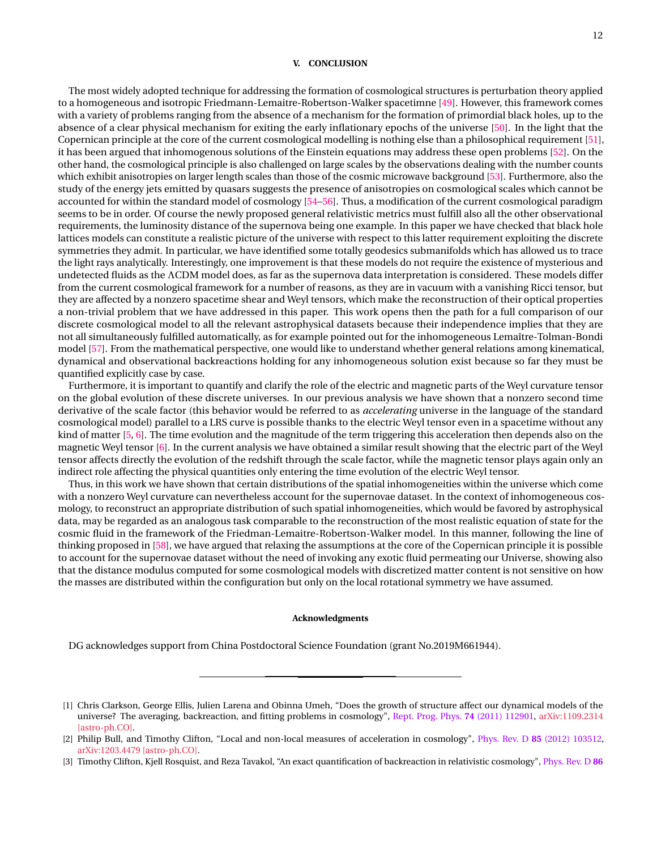# <span id="page-11-3"></span>**V. CONCLUSION**

The most widely adopted technique for addressing the formation of cosmological structures is perturbation theory applied to a homogeneous and isotropic Friedmann-Lemaitre-Robertson-Walker spacetimne [\[49\]](#page-13-9). However, this framework comes with a variety of problems ranging from the absence of a mechanism for the formation of primordial black holes, up to the absence of a clear physical mechanism for exiting the early inflationary epochs of the universe [\[50\]](#page-13-10). In the light that the Copernican principle at the core of the current cosmological modelling is nothing else than a philosophical requirement [\[51\]](#page-13-11), it has been argued that inhomogenous solutions of the Einstein equations may address these open problems [\[52\]](#page-13-12). On the other hand, the cosmological principle is also challenged on large scales by the observations dealing with the number counts which exhibit anisotropies on larger length scales than those of the cosmic microwave background [\[53\]](#page-13-13). Furthermore, also the study of the energy jets emitted by quasars suggests the presence of anisotropies on cosmological scales which cannot be accounted for within the standard model of cosmology [\[54–](#page-13-14)[56\]](#page-13-15). Thus, a modification of the current cosmological paradigm seems to be in order. Of course the newly proposed general relativistic metrics must fulfill also all the other observational requirements, the luminosity distance of the supernova being one example. In this paper we have checked that black hole lattices models can constitute a realistic picture of the universe with respect to this latter requirement exploiting the discrete symmetries they admit. In particular, we have identified some totally geodesics submanifolds which has allowed us to trace the light rays analytically. Interestingly, one improvement is that these models do not require the existence of mysterious and undetected fluids as the ΛCDM model does, as far as the supernova data interpretation is considered. These models differ from the current cosmological framework for a number of reasons, as they are in vacuum with a vanishing Ricci tensor, but they are affected by a nonzero spacetime shear and Weyl tensors, which make the reconstruction of their optical properties a non-trivial problem that we have addressed in this paper. This work opens then the path for a full comparison of our discrete cosmological model to all the relevant astrophysical datasets because their independence implies that they are not all simultaneously fulfilled automatically, as for example pointed out for the inhomogeneous Lemaître-Tolman-Bondi model [\[57\]](#page-13-16). From the mathematical perspective, one would like to understand whether general relations among kinematical, dynamical and observational backreactions holding for any inhomogeneous solution exist because so far they must be quantified explicitly case by case.

Furthermore, it is important to quantify and clarify the role of the electric and magnetic parts of the Weyl curvature tensor on the global evolution of these discrete universes. In our previous analysis we have shown that a nonzero second time derivative of the scale factor (this behavior would be referred to as *accelerating* universe in the language of the standard cosmological model) parallel to a LRS curve is possible thanks to the electric Weyl tensor even in a spacetime without any kind of matter [\[5,](#page-12-11) [6\]](#page-12-8). The time evolution and the magnitude of the term triggering this acceleration then depends also on the magnetic Weyl tensor [\[6\]](#page-12-8). In the current analysis we have obtained a similar result showing that the electric part of the Weyl tensor affects directly the evolution of the redshift through the scale factor, while the magnetic tensor plays again only an indirect role affecting the physical quantities only entering the time evolution of the electric Weyl tensor.

Thus, in this work we have shown that certain distributions of the spatial inhomogeneities within the universe which come with a nonzero Weyl curvature can nevertheless account for the supernovae dataset. In the context of inhomogeneous cosmology, to reconstruct an appropriate distribution of such spatial inhomogeneities, which would be favored by astrophysical data, may be regarded as an analogous task comparable to the reconstruction of the most realistic equation of state for the cosmic fluid in the framework of the Friedman-Lemaitre-Robertson-Walker model. In this manner, following the line of thinking proposed in [\[58\]](#page-13-17), we have argued that relaxing the assumptions at the core of the Copernican principle it is possible to account for the supernovae dataset without the need of invoking any exotic fluid permeating our Universe, showing also that the distance modulus computed for some cosmological models with discretized matter content is not sensitive on how the masses are distributed within the configuration but only on the local rotational symmetry we have assumed.

# **Acknowledgments**

DG acknowledges support from China Postdoctoral Science Foundation (grant No.2019M661944).

<span id="page-11-0"></span><sup>[1]</sup> Chris Clarkson, George Ellis, Julien Larena and Obinna Umeh, "Does the growth of structure affect our dynamical models of the universe? The averaging, backreaction, and fitting problems in cosmology", [Rept. Prog. Phys.](http://iopscience.iop.org/article/10.1088/0034-4885/74/11/112901/meta) **74** (2011) 112901, [arXiv:1109.2314](https://arxiv.org/abs/1109.2314) [\[astro-ph.CO\].](https://arxiv.org/abs/1109.2314)

<span id="page-11-1"></span><sup>[2]</sup> Philip Bull, and Timothy Clifton, "Local and non-local measures of acceleration in cosmology", Phys. Rev. D **85** [\(2012\) 103512,](https://journals.aps.org/prd/abstract/10.1103/PhysRevD.85.103512) [arXiv:1203.4479 \[astro-ph.CO\].](https://arxiv.org/abs/1203.4479)

<span id="page-11-2"></span><sup>[3]</sup> Timothy Clifton, Kjell Rosquist, and Reza Tavakol, "An exact quantification of backreaction in relativistic cosmology", [Phys. Rev. D](https://journals.aps.org/prd/abstract/10.1103/PhysRevD.86.043506) **86**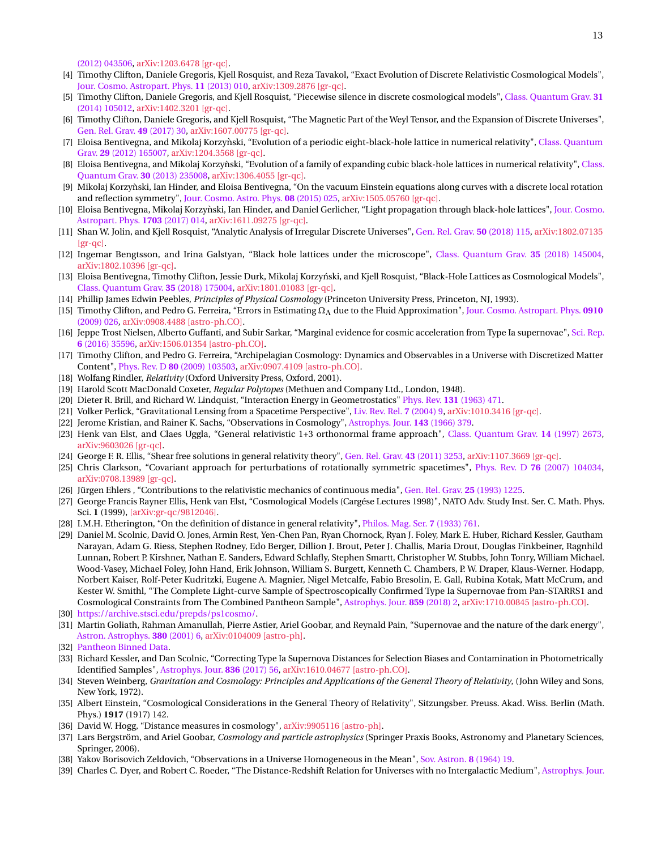[\(2012\) 043506,](https://journals.aps.org/prd/abstract/10.1103/PhysRevD.86.043506) [arXiv:1203.6478 \[gr-qc\].](https://arxiv.org/abs/1203.6478)

- <span id="page-12-2"></span>[4] Timothy Clifton, Daniele Gregoris, Kjell Rosquist, and Reza Tavakol, "Exact Evolution of Discrete Relativistic Cosmological Models", [Jour. Cosmo. Astropart. Phys.](https://iopscience.iop.org/article/10.1088/1475-7516/2013/11/010) **11** (2013) 010, [arXiv:1309.2876 \[gr-qc\].](https://arxiv.org/abs/1309.2876)
- <span id="page-12-11"></span>[5] Timothy Clifton, Daniele Gregoris, and Kjell Rosquist, "Piecewise silence in discrete cosmological models", [Class. Quantum Grav.](https://iopscience.iop.org/article/10.1088/0264-9381/31/10/105012) **31** [\(2014\) 105012,](https://iopscience.iop.org/article/10.1088/0264-9381/31/10/105012) [arXiv:1402.3201 \[gr-qc\].](https://arxiv.org/abs/1402.3201)
- <span id="page-12-8"></span>[6] Timothy Clifton, Daniele Gregoris, and Kjell Rosquist, "The Magnetic Part of the Weyl Tensor, and the Expansion of Discrete Universes", [Gen. Rel. Grav.](https://link.springer.com/article/10.1007%2Fs10714-017-2192-0) **49** (2017) 30, [arXiv:1607.00775 \[gr-qc\].](https://arxiv.org/abs/1607.00775)
- [7] Eloisa Bentivegna, and Mikolaj Korzynski, "Evolution of a periodic eight-black-hole lattice in numerical relativity", [Class. Quantum](https://iopscience.iop.org/article/10.1088/0264-9381/29/16/165007/pdf) Grav. **29** [\(2012\) 165007,](https://iopscience.iop.org/article/10.1088/0264-9381/29/16/165007/pdf) [arXiv:1204.3568 \[gr-qc\].](https://arxiv.org/abs/1204.3568)
- [8] Eloisa Bentivegna, and Mikolaj Korzynski, "Evolution of a family of expanding cubic black-hole lattices in numerical relativity", [Class.](https://iopscience.iop.org/article/10.1088/0264-9381/30/23/235008/pdf) [Quantum Grav.](https://iopscience.iop.org/article/10.1088/0264-9381/30/23/235008/pdf) **30** (2013) 235008, [arXiv:1306.4055 \[gr-qc\].](https://arxiv.org/abs/1306.4055)
- [9] Mikolaj Korzynski, Ian Hinder, and Eloisa Bentivegna, "On the vacuum Einstein equations along curves with a discrete local rotation ` and reflection symmetry", [Jour. Cosmo. Astro. Phys.](https://iopscience.iop.org/article/10.1088/1475-7516/2015/08/025/meta) **08** (2015) 025, [arXiv:1505.05760 \[gr-qc\].](https://arxiv.org/abs/1505.05760)
- <span id="page-12-31"></span>[10] Eloisa Bentivegna, Mikolaj Korzynski, Ian Hinder, and Daniel Gerlicher, "Light propagation through black-hole lattices", [Jour. Cosmo.](https://iopscience.iop.org/article/10.1088/1475-7516/2017/03/014/meta) [Astropart. Phys.](https://iopscience.iop.org/article/10.1088/1475-7516/2017/03/014/meta) **1703** (2017) 014, [arXiv:1611.09275 \[gr-qc\].](https://arxiv.org/abs/1611.09275)
- [11] Shan W. Jolin, and Kjell Rosquist, "Analytic Analysis of Irregular Discrete Universes", [Gen. Rel. Grav.](https://link.springer.com/article/10.1007%2Fs10714-018-2436-7) **50** (2018) 115, [arXiv:1802.07135](https://arxiv.org/abs/1802.07135) [\[gr-qc\].](https://arxiv.org/abs/1802.07135)
- <span id="page-12-0"></span>[12] Ingemar Bengtsson, and Irina Galstyan, "Black hole lattices under the microscope", [Class. Quantum Grav.](http://iopscience.iop.org/article/10.1088/1361-6382/aac7e0/meta) **35** (2018) 145004, [arXiv:1802.10396 \[gr-qc\].](https://arxiv.org/abs/1802.10396)
- <span id="page-12-1"></span>[13] Eloisa Bentivegna, Timothy Clifton, Jessie Durk, Mikolaj Korzyński, and Kjell Rosquist, "Black-Hole Lattices as Cosmological Models", [Class. Quantum Grav.](http://iopscience.iop.org/article/10.1088/1361-6382/aac846/meta) **35** (2018) 175004, [arXiv:1801.01083 \[gr-qc\].](https://arxiv.org/abs/1801.01083)
- <span id="page-12-3"></span>[14] Phillip James Edwin Peebles, *Principles of Physical Cosmology* (Princeton University Press, Princeton, NJ, 1993).
- <span id="page-12-4"></span>[15] Timothy Clifton, and Pedro G. Ferreira, "Errors in Estimating ΩΛ due to the Fluid Approximation", [Jour. Cosmo. Astropart. Phys.](https://iopscience.iop.org/article/10.1088/1475-7516/2009/10/026/meta) **0910** [\(2009\) 026,](https://iopscience.iop.org/article/10.1088/1475-7516/2009/10/026/meta) [arXiv:0908.4488 \[astro-ph.CO\].](https://arxiv.org/abs/0908.4488)
- <span id="page-12-5"></span>[16] Jeppe Trost Nielsen, Alberto Guffanti, and Subir Sarkar, "Marginal evidence for cosmic acceleration from Type Ia supernovae", [Sci. Rep.](https://www.nature.com/articles/srep35596) **6** [\(2016\) 35596,](https://www.nature.com/articles/srep35596) [arXiv:1506.01354 \[astro-ph.CO\].](https://arxiv.org/abs/1506.01354)
- <span id="page-12-6"></span>[17] Timothy Clifton, and Pedro G. Ferreira, "Archipelagian Cosmology: Dynamics and Observables in a Universe with Discretized Matter Content", Phys. Rev. D **80** [\(2009\) 103503,](https://journals.aps.org/prd/abstract/10.1103/PhysRevD.80.103503) [arXiv:0907.4109 \[astro-ph.CO\].](https://arxiv.org/abs/0907.4109)
- <span id="page-12-7"></span>[18] Wolfang Rindler, *Relativity* (Oxford University Press, Oxford, 2001).
- <span id="page-12-9"></span>[19] Harold Scott MacDonald Coxeter, *Regular Polytopes* (Methuen and Company Ltd., London, 1948).
- <span id="page-12-10"></span>[20] Dieter R. Brill, and Richard W. Lindquist, "Interaction Energy in Geometrostatics" Phys. Rev. **131** [\(1963\) 471.](https://journals.aps.org/pr/abstract/10.1103/PhysRev.131.471)
- <span id="page-12-12"></span>[21] Volker Perlick, "Gravitational Lensing from a Spacetime Perspective", [Liv. Rev. Rel.](https://link.springer.com/article/10.12942/lrr-2004-9) **7** (2004) 9, [arXiv:1010.3416 \[gr-qc\].](https://arxiv.org/abs/1010.3416)
- <span id="page-12-13"></span>[22] Jerome Kristian, and Rainer K. Sachs, "Observations in Cosmology", [Astrophys. Jour.](http://adsabs.harvard.edu/full/1966ApJ...143..379K) **143** (1966) 379.
- <span id="page-12-14"></span>[23] Henk van Elst, and Claes Uggla, "General relativistic 1+3 orthonormal frame approach", [Class. Quantum Grav.](https://iopscience.iop.org/article/10.1088/0264-9381/14/9/021) **14** (1997) 2673, [arXiv:9603026 \[gr-qc\].](https://arxiv.org/abs/gr-qc/9603026)
- <span id="page-12-15"></span>[24] George F. R. Ellis, "Shear free solutions in general relativity theory", [Gen. Rel. Grav.](https://link.springer.com/article/10.1007/s10714-011-1244-0) **43** (2011) 3253, [arXiv:1107.3669 \[gr-qc\].](https://arxiv.org/abs/1107.3669)
- <span id="page-12-16"></span>[25] Chris Clarkson, "Covariant approach for perturbations of rotationally symmetric spacetimes", Phys. Rev. D **76** [\(2007\) 104034,](https://journals.aps.org/prd/abstract/10.1103/PhysRevD.76.104034) [arXiv:0708.13989 \[gr-qc\].](https://arxiv.org/abs/0708.13989)
- <span id="page-12-17"></span>[26] Jürgen Ehlers , "Contributions to the relativistic mechanics of continuous media", [Gen. Rel. Grav.](https://link.springer.com/article/10.1007%2FBF00759031) **25** (1993) 1225.
- <span id="page-12-18"></span>[27] George Francis Rayner Ellis, Henk van Elst, "Cosmological Models (Cargése Lectures 1998)", NATO Adv. Study Inst. Ser. C. Math. Phys. Sci. **1** (1999), [\[arXiv:gr-qc/9812046\].](https://arxiv.org/abs/gr-qc/9812046)
- <span id="page-12-19"></span>[28] I.M.H. Etherington, "On the definition of distance in general relativity", [Philos. Mag. Ser.](https://www.tandfonline.com/doi/abs/10.1080/14786443309462220?journalCode=tphm18) **7** (1933) 761.
- <span id="page-12-20"></span>[29] Daniel M. Scolnic, David O. Jones, Armin Rest, Yen-Chen Pan, Ryan Chornock, Ryan J. Foley, Mark E. Huber, Richard Kessler, Gautham Narayan, Adam G. Riess, Stephen Rodney, Edo Berger, Dillion J. Brout, Peter J. Challis, Maria Drout, Douglas Finkbeiner, Ragnhild Lunnan, Robert P. Kirshner, Nathan E. Sanders, Edward Schlafly, Stephen Smartt, Christopher W. Stubbs, John Tonry, William Michael. Wood-Vasey, Michael Foley, John Hand, Erik Johnson, William S. Burgett, Kenneth C. Chambers, P. W. Draper, Klaus-Werner. Hodapp, Norbert Kaiser, Rolf-Peter Kudritzki, Eugene A. Magnier, Nigel Metcalfe, Fabio Bresolin, E. Gall, Rubina Kotak, Matt McCrum, and Kester W. Smithl, "The Complete Light-curve Sample of Spectroscopically Confirmed Type Ia Supernovae from Pan-STARRS1 and Cosmological Constraints from The Combined Pantheon Sample", [Astrophys. Jour.](https://iopscience.iop.org/article/10.3847/1538-4357/aab9bb/meta) **859** (2018) 2, [arXiv:1710.00845 \[astro-ph.CO\].](https://arxiv.org/abs/1710.00845)
- <span id="page-12-21"></span>[30] [https://archive.stsci.edu/prepds/ps1cosmo/.](https://archive.stsci.edu/prepds/ps1cosmo/)
- <span id="page-12-22"></span>[31] Martin Goliath, Rahman Amanullah, Pierre Astier, Ariel Goobar, and Reynald Pain, "Supernovae and the nature of the dark energy", [Astron. Astrophys.](https://www.aanda.org/articles/aa/abs/2001/46/aah2780/aah2780.html) **380** (2001) 6, [arXiv:0104009 \[astro-ph\].](https://arxiv.org/abs/astro-ph/0104009)
- <span id="page-12-23"></span>[32] [Pantheon Binned Data.](https://archive.stsci.edu/hlsps/ps1cosmo/scolnic/binned_data/hlsp_ps1cosmo_panstarrs_gpc1_all_model_v1_lcparam.txt)
- <span id="page-12-24"></span>[33] Richard Kessler, and Dan Scolnic, "Correcting Type Ia Supernova Distances for Selection Biases and Contamination in Photometrically Identified Samples", [Astrophys. Jour.](https://iopscience.iop.org/article/10.3847/1538-4357/836/1/56) **836** (2017) 56, [arXiv:1610.04677 \[astro-ph.CO\].](https://arxiv.org/abs/1610.04677)
- <span id="page-12-25"></span>[34] Steven Weinberg, *Gravitation and Cosmology: Principles and Applications of the General Theory of Relativity*, (John Wiley and Sons, New York, 1972).
- <span id="page-12-26"></span>[35] Albert Einstein, "Cosmological Considerations in the General Theory of Relativity", Sitzungsber. Preuss. Akad. Wiss. Berlin (Math. Phys.) **1917** (1917) 142.
- <span id="page-12-27"></span>[36] David W. Hogg, "Distance measures in cosmology", [arXiv:9905116 \[astro-ph\].](https://arxiv.org/abs/astro-ph/9905116)
- <span id="page-12-28"></span>[37] Lars Bergström, and Ariel Goobar, *Cosmology and particle astrophysics* (Springer Praxis Books, Astronomy and Planetary Sciences, Springer, 2006).
- <span id="page-12-29"></span>[38] Yakov Borisovich Zeldovich, "Observations in a Universe Homogeneous in the Mean", [Sov. Astron.](http://articles.adsabs.harvard.edu/full/1964SvA.....8...13Z) **8** (1964) 19.
- <span id="page-12-30"></span>[39] Charles C. Dyer, and Robert C. Roeder, "The Distance-Redshift Relation for Universes with no Intergalactic Medium", [Astrophys. Jour.](http://articles.adsabs.harvard.edu/full/1972ApJ...174L.115D)